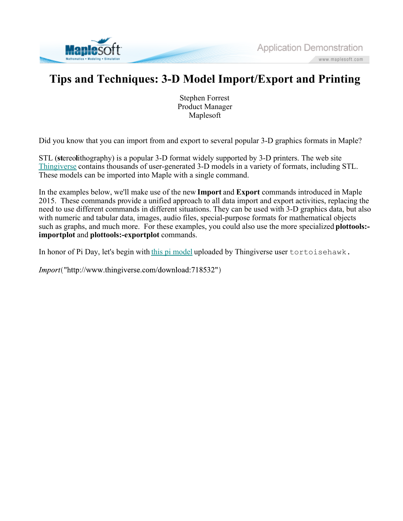

## **Tips and Techniques: 3-D Model Import/Export and Printing**

Stephen Forrest Product Manager Maplesoft

Did you know that you can import from and export to several popular 3-D graphics formats in Maple?

STL (**st**ereo**l**ithography) is a popular 3-D format widely supported by 3-D printers. The web site Thingiverse contains thousands of user-generated 3-D models in a variety of formats, including STL. These models can be imported into Maple with a single command.

In the examples below, we'll make use of the new **Import** and **Export** commands introduced in Maple 2015. These commands provide a unified approach to all data import and export activities, replacing the need to use different commands in different situations. They can be used with 3-D graphics data, but also with numeric and tabular data, images, audio files, special-purpose formats for mathematical objects such as graphs, and much more. For these examples, you could also use the more specialized **plottools: importplot** and **plottools:-exportplot** commands.

In honor of Pi Day, let's begin with this pi model uploaded by Thingiverse user tortoisehawk.

*Import*("http://www.thingiverse.com/download:718532")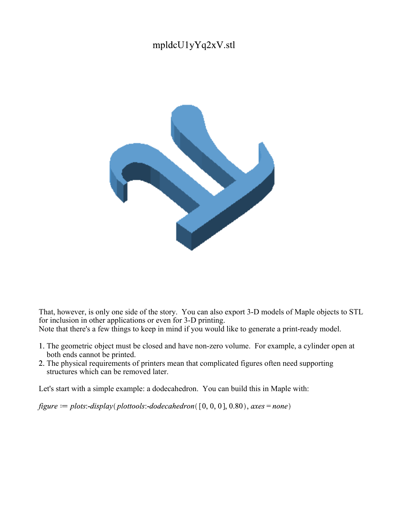## mpldcU1yYq2xV.stl



That, however, is only one side of the story. You can also export 3-D models of Maple objects to STL for inclusion in other applications or even for 3-D printing. Note that there's a few things to keep in mind if you would like to generate a print-ready model.

- 1. The geometric object must be closed and have non-zero volume. For example, a cylinder open at both ends cannot be printed.
- 2. The physical requirements of printers mean that complicated figures often need supporting structures which can be removed later.

Let's start with a simple example: a dodecahedron. You can build this in Maple with:

 $figure := plots: -display(plots: -dbolds - dboldr( [0, 0, 0], 0.80), axes = none)$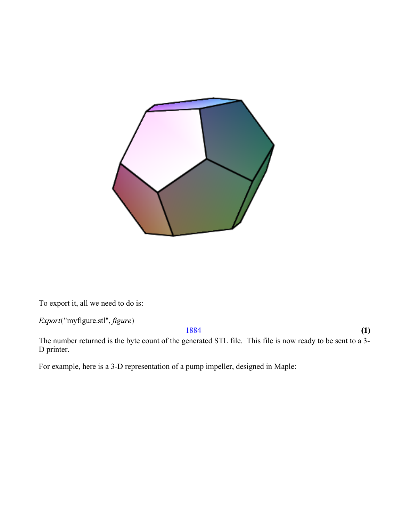

To export it, all we need to do is:

Export("myfigure.stl", figure)

1884

**(1)**

The number returned is the byte count of the generated STL file. This file is now ready to be sent to a 3- D printer.

For example, here is a 3-D representation of a pump impeller, designed in Maple: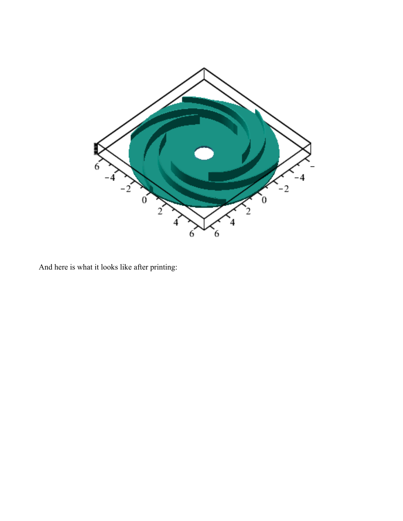

And here is what it looks like after printing: